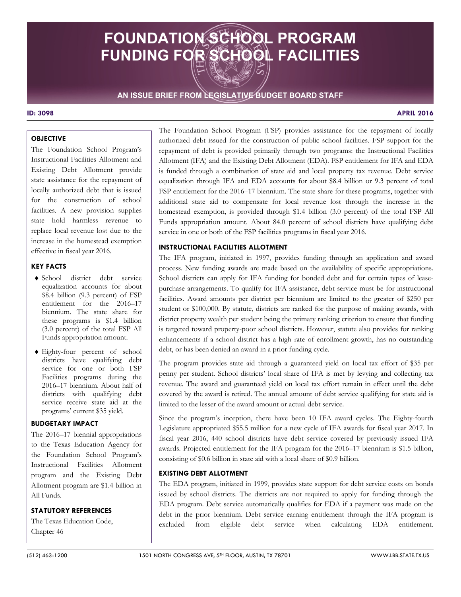# **FOUNDATION SCHOOL PROGRAM FUNDING FOR SCHOOL FACILITIES**

# **AN ISSUE BRIEF FROM LEGISLATIVE BUDGET BOARD STAFF**

# **ID: 3098 APRIL 2016**

# **OBJECTIVE**

The Foundation School Program's Instructional Facilities Allotment and Existing Debt Allotment provide state assistance for the repayment of locally authorized debt that is issued for the construction of school facilities. A new provision supplies state hold harmless revenue to replace local revenue lost due to the increase in the homestead exemption effective in fiscal year 2016.

# **KEY FACTS**

- ♦ School district debt service equalization accounts for about \$8.4 billion (9.3 percent) of FSP entitlement for the 2016–17 biennium. The state share for these programs is \$1.4 billion (3.0 percent) of the total FSP All Funds appropriation amount.
- ♦ Eighty-four percent of school districts have qualifying debt service for one or both FSP Facilities programs during the 2016–17 biennium. About half of districts with qualifying debt service receive state aid at the programs' current \$35 yield.

### **BUDGETARY IMPACT**

The 2016–17 biennial appropriations to the Texas Education Agency for the Foundation School Program's Instructional Facilities Allotment program and the Existing Debt Allotment program are \$1.4 billion in All Funds.

# **STATUTORY REFERENCES**

The Texas Education Code, Chapter 46

The Foundation School Program (FSP) provides assistance for the repayment of locally authorized debt issued for the construction of public school facilities. FSP support for the repayment of debt is provided primarily through two programs: the Instructional Facilities Allotment (IFA) and the Existing Debt Allotment (EDA). FSP entitlement for IFA and EDA is funded through a combination of state aid and local property tax revenue. Debt service equalization through IFA and EDA accounts for about \$8.4 billion or 9.3 percent of total FSP entitlement for the 2016–17 biennium. The state share for these programs, together with additional state aid to compensate for local revenue lost through the increase in the homestead exemption, is provided through \$1.4 billion (3.0 percent) of the total FSP All Funds appropriation amount. About 84.0 percent of school districts have qualifying debt service in one or both of the FSP facilities programs in fiscal year 2016.

#### **INSTRUCTIONAL FACILITIES ALLOTMENT**

 district property wealth per student being the primary ranking criterion to ensure that funding The IFA program, initiated in 1997, provides funding through an application and award process. New funding awards are made based on the availability of specific appropriations. School districts can apply for IFA funding for bonded debt and for certain types of leasepurchase arrangements. To qualify for IFA assistance, debt service must be for instructional facilities. Award amounts per district per biennium are limited to the greater of \$250 per student or \$100,000. By statute, districts are ranked for the purpose of making awards, with is targeted toward property-poor school districts. However, statute also provides for ranking enhancements if a school district has a high rate of enrollment growth, has no outstanding debt, or has been denied an award in a prior funding cycle.

The program provides state aid through a guaranteed yield on local tax effort of \$35 per penny per student. School districts' local share of IFA is met by levying and collecting tax revenue. The award and guaranteed yield on local tax effort remain in effect until the debt covered by the award is retired. The annual amount of debt service qualifying for state aid is limited to the lesser of the award amount or actual debt service.

Since the program's inception, there have been 10 IFA award cycles. The Eighty-fourth Legislature appropriated \$55.5 million for a new cycle of IFA awards for fiscal year 2017. In fiscal year 2016, 440 school districts have debt service covered by previously issued IFA awards. Projected entitlement for the IFA program for the 2016–17 biennium is \$1.5 billion, consisting of \$0.6 billion in state aid with a local share of \$0.9 billion.

#### **EXISTING DEBT ALLOTMENT**

The EDA program, initiated in 1999, provides state support for debt service costs on bonds issued by school districts. The districts are not required to apply for funding through the EDA program. Debt service automatically qualifies for EDA if a payment was made on the debt in the prior biennium. Debt service earning entitlement through the IFA program is excluded from eligible debt service when calculating EDA entitlement.